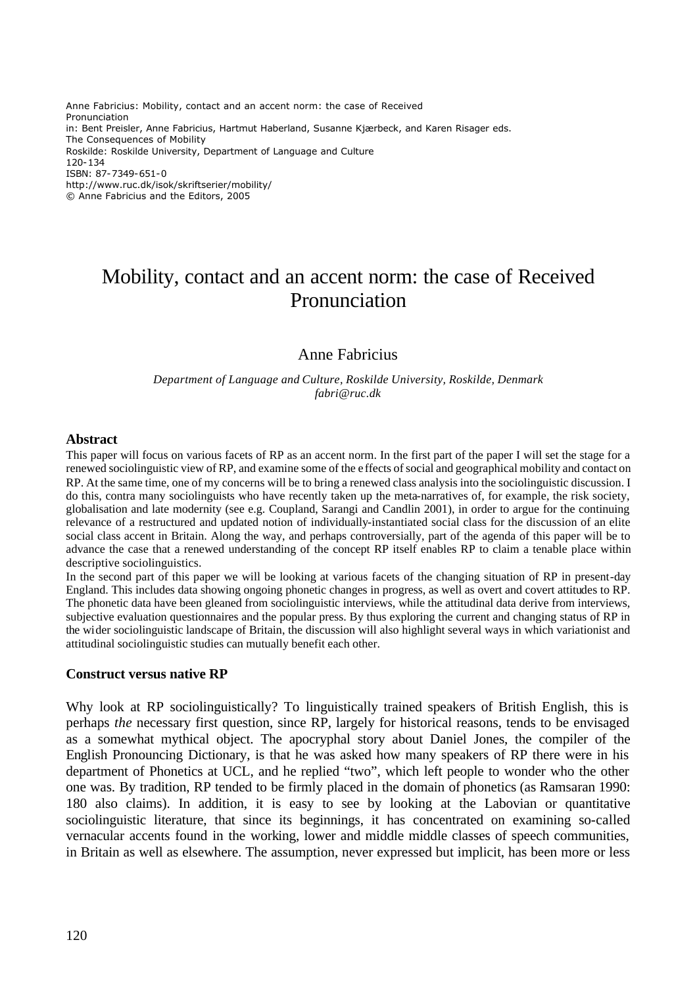Anne Fabricius: Mobility, contact and an accent norm: the case of Received Pronunciation in: Bent Preisler, Anne Fabricius, Hartmut Haberland, Susanne Kjærbeck, and Karen Risager eds. The Consequences of Mobility Roskilde: Roskilde University, Department of Language and Culture 120-134 ISBN: 87-7349-651-0 http://www.ruc.dk/isok/skriftserier/mobility/ © Anne Fabricius and the Editors, 2005

# Mobility, contact and an accent norm: the case of Received Pronunciation

# Anne Fabricius

*Department of Language and Culture, Roskilde University, Roskilde, Denmark fabri@ruc.dk*

#### **Abstract**

This paper will focus on various facets of RP as an accent norm. In the first part of the paper I will set the stage for a renewed sociolinguistic view of RP, and examine some of the e ffects of social and geographical mobility and contact on RP. At the same time, one of my concerns will be to bring a renewed class analysis into the sociolinguistic discussion. I do this, contra many sociolinguists who have recently taken up the meta-narratives of, for example, the risk society, globalisation and late modernity (see e.g. Coupland, Sarangi and Candlin 2001), in order to argue for the continuing relevance of a restructured and updated notion of individually-instantiated social class for the discussion of an elite social class accent in Britain. Along the way, and perhaps controversially, part of the agenda of this paper will be to advance the case that a renewed understanding of the concept RP itself enables RP to claim a tenable place within descriptive sociolinguistics.

In the second part of this paper we will be looking at various facets of the changing situation of RP in present-day England. This includes data showing ongoing phonetic changes in progress, as well as overt and covert attitudes to RP. The phonetic data have been gleaned from sociolinguistic interviews, while the attitudinal data derive from interviews, subjective evaluation questionnaires and the popular press. By thus exploring the current and changing status of RP in the wider sociolinguistic landscape of Britain, the discussion will also highlight several ways in which variationist and attitudinal sociolinguistic studies can mutually benefit each other.

#### **Construct versus native RP**

Why look at RP sociolinguistically? To linguistically trained speakers of British English, this is perhaps *the* necessary first question, since RP, largely for historical reasons, tends to be envisaged as a somewhat mythical object. The apocryphal story about Daniel Jones, the compiler of the English Pronouncing Dictionary, is that he was asked how many speakers of RP there were in his department of Phonetics at UCL, and he replied "two", which left people to wonder who the other one was. By tradition, RP tended to be firmly placed in the domain of phonetics (as Ramsaran 1990: 180 also claims). In addition, it is easy to see by looking at the Labovian or quantitative sociolinguistic literature, that since its beginnings, it has concentrated on examining so-called vernacular accents found in the working, lower and middle middle classes of speech communities, in Britain as well as elsewhere. The assumption, never expressed but implicit, has been more or less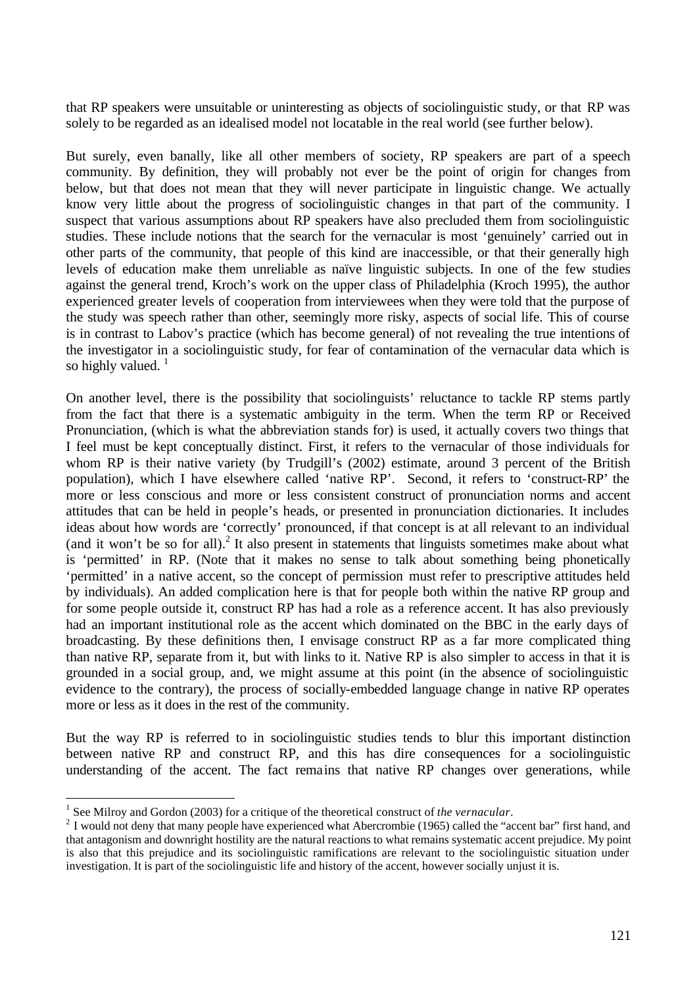that RP speakers were unsuitable or uninteresting as objects of sociolinguistic study, or that RP was solely to be regarded as an idealised model not locatable in the real world (see further below).

But surely, even banally, like all other members of society, RP speakers are part of a speech community. By definition, they will probably not ever be the point of origin for changes from below, but that does not mean that they will never participate in linguistic change. We actually know very little about the progress of sociolinguistic changes in that part of the community. I suspect that various assumptions about RP speakers have also precluded them from sociolinguistic studies. These include notions that the search for the vernacular is most 'genuinely' carried out in other parts of the community, that people of this kind are inaccessible, or that their generally high levels of education make them unreliable as naïve linguistic subjects. In one of the few studies against the general trend, Kroch's work on the upper class of Philadelphia (Kroch 1995), the author experienced greater levels of cooperation from interviewees when they were told that the purpose of the study was speech rather than other, seemingly more risky, aspects of social life. This of course is in contrast to Labov's practice (which has become general) of not revealing the true intentions of the investigator in a sociolinguistic study, for fear of contamination of the vernacular data which is so highly valued.  $<sup>1</sup>$ </sup>

On another level, there is the possibility that sociolinguists' reluctance to tackle RP stems partly from the fact that there is a systematic ambiguity in the term. When the term RP or Received Pronunciation, (which is what the abbreviation stands for) is used, it actually covers two things that I feel must be kept conceptually distinct. First, it refers to the vernacular of those individuals for whom RP is their native variety (by Trudgill's (2002) estimate, around 3 percent of the British population), which I have elsewhere called 'native RP'. Second, it refers to 'construct-RP' the more or less conscious and more or less consistent construct of pronunciation norms and accent attitudes that can be held in people's heads, or presented in pronunciation dictionaries. It includes ideas about how words are 'correctly' pronounced, if that concept is at all relevant to an individual (and it won't be so for all).<sup>2</sup> It also present in statements that linguists sometimes make about what is 'permitted' in RP. (Note that it makes no sense to talk about something being phonetically 'permitted' in a native accent, so the concept of permission must refer to prescriptive attitudes held by individuals). An added complication here is that for people both within the native RP group and for some people outside it, construct RP has had a role as a reference accent. It has also previously had an important institutional role as the accent which dominated on the BBC in the early days of broadcasting. By these definitions then, I envisage construct RP as a far more complicated thing than native RP, separate from it, but with links to it. Native RP is also simpler to access in that it is grounded in a social group, and, we might assume at this point (in the absence of sociolinguistic evidence to the contrary), the process of socially-embedded language change in native RP operates more or less as it does in the rest of the community.

But the way RP is referred to in sociolinguistic studies tends to blur this important distinction between native RP and construct RP, and this has dire consequences for a sociolinguistic understanding of the accent. The fact remains that native RP changes over generations, while

<sup>&</sup>lt;sup>1</sup> See Milroy and Gordon (2003) for a critique of the theoretical construct of *the vernacular*.

 $2$  I would not deny that many people have experienced what Abercrombie (1965) called the "accent bar" first hand, and that antagonism and downright hostility are the natural reactions to what remains systematic accent prejudice. My point is also that this prejudice and its sociolinguistic ramifications are relevant to the sociolinguistic situation under investigation. It is part of the sociolinguistic life and history of the accent, however socially unjust it is.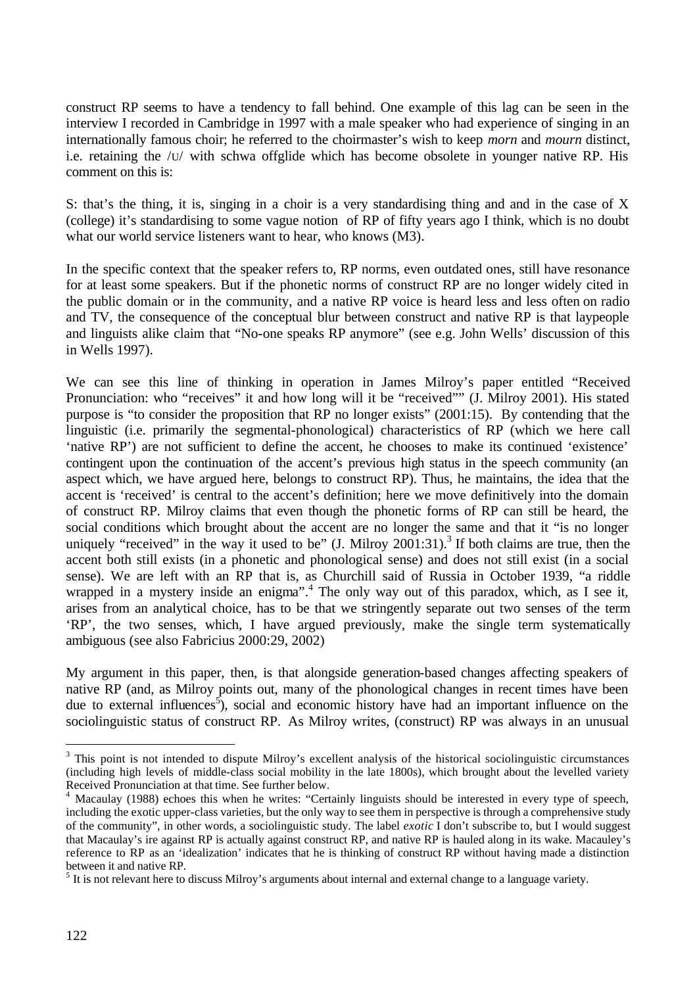construct RP seems to have a tendency to fall behind. One example of this lag can be seen in the interview I recorded in Cambridge in 1997 with a male speaker who had experience of singing in an internationally famous choir; he referred to the choirmaster's wish to keep *morn* and *mourn* distinct, i.e. retaining the /U/ with schwa offglide which has become obsolete in younger native RP. His comment on this is:

S: that's the thing, it is, singing in a choir is a very standardising thing and and in the case of X (college) it's standardising to some vague notion of RP of fifty years ago I think, which is no doubt what our world service listeners want to hear, who knows (M3).

In the specific context that the speaker refers to, RP norms, even outdated ones, still have resonance for at least some speakers. But if the phonetic norms of construct RP are no longer widely cited in the public domain or in the community, and a native RP voice is heard less and less often on radio and TV, the consequence of the conceptual blur between construct and native RP is that laypeople and linguists alike claim that "No-one speaks RP anymore" (see e.g. John Wells' discussion of this in Wells 1997).

We can see this line of thinking in operation in James Milroy's paper entitled "Received Pronunciation: who "receives" it and how long will it be "received"" (J. Milroy 2001). His stated purpose is "to consider the proposition that RP no longer exists" (2001:15). By contending that the linguistic (i.e. primarily the segmental-phonological) characteristics of RP (which we here call 'native RP') are not sufficient to define the accent, he chooses to make its continued 'existence' contingent upon the continuation of the accent's previous high status in the speech community (an aspect which, we have argued here, belongs to construct RP). Thus, he maintains, the idea that the accent is 'received' is central to the accent's definition; here we move definitively into the domain of construct RP. Milroy claims that even though the phonetic forms of RP can still be heard, the social conditions which brought about the accent are no longer the same and that it "is no longer uniquely "received" in the way it used to be"  $(I.$  Milroy  $2001:31$ ).<sup>3</sup> If both claims are true, then the accent both still exists (in a phonetic and phonological sense) and does not still exist (in a social sense). We are left with an RP that is, as Churchill said of Russia in October 1939, "a riddle wrapped in a mystery inside an enigma".<sup>4</sup> The only way out of this paradox, which, as I see it, arises from an analytical choice, has to be that we stringently separate out two senses of the term 'RP', the two senses, which, I have argued previously, make the single term systematically ambiguous (see also Fabricius 2000:29, 2002)

My argument in this paper, then, is that alongside generation-based changes affecting speakers of native RP (and, as Milroy points out, many of the phonological changes in recent times have been due to external influences<sup>5</sup>), social and economic history have had an important influence on the sociolinguistic status of construct RP. As Milroy writes, (construct) RP was always in an unusual

 $3$  This point is not intended to dispute Milroy's excellent analysis of the historical sociolinguistic circumstances (including high levels of middle-class social mobility in the late 1800s), which brought about the levelled variety Received Pronunciation at that time. See further below.

<sup>4</sup> Macaulay (1988) echoes this when he writes: "Certainly linguists should be interested in every type of speech, including the exotic upper-class varieties, but the only way to see them in perspective is through a comprehensive study of the community", in other words, a sociolinguistic study. The label *exotic* I don't subscribe to, but I would suggest that Macaulay's ire against RP is actually against construct RP, and native RP is hauled along in its wake. Macauley's reference to RP as an 'idealization' indicates that he is thinking of construct RP without having made a distinction between it and native RP.

 $<sup>5</sup>$  It is not relevant here to discuss Milroy's arguments about internal and external change to a language variety.</sup>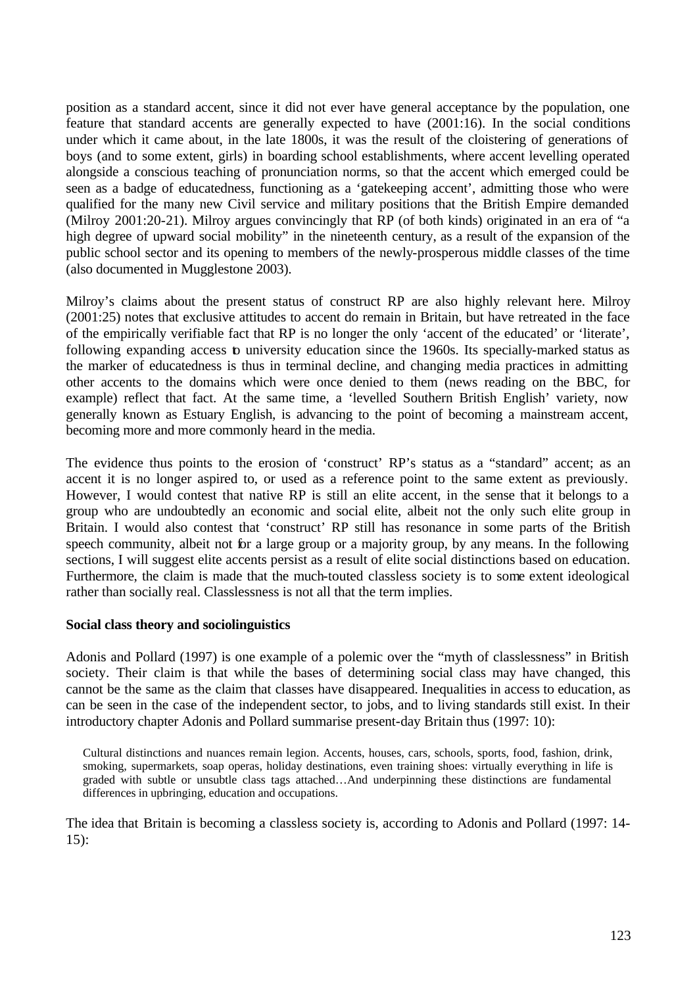position as a standard accent, since it did not ever have general acceptance by the population, one feature that standard accents are generally expected to have (2001:16). In the social conditions under which it came about, in the late 1800s, it was the result of the cloistering of generations of boys (and to some extent, girls) in boarding school establishments, where accent levelling operated alongside a conscious teaching of pronunciation norms, so that the accent which emerged could be seen as a badge of educatedness, functioning as a 'gatekeeping accent', admitting those who were qualified for the many new Civil service and military positions that the British Empire demanded (Milroy 2001:20-21). Milroy argues convincingly that RP (of both kinds) originated in an era of "a high degree of upward social mobility" in the nineteenth century, as a result of the expansion of the public school sector and its opening to members of the newly-prosperous middle classes of the time (also documented in Mugglestone 2003).

Milroy's claims about the present status of construct RP are also highly relevant here. Milroy (2001:25) notes that exclusive attitudes to accent do remain in Britain, but have retreated in the face of the empirically verifiable fact that RP is no longer the only 'accent of the educated' or 'literate', following expanding access to university education since the 1960s. Its specially-marked status as the marker of educatedness is thus in terminal decline, and changing media practices in admitting other accents to the domains which were once denied to them (news reading on the BBC, for example) reflect that fact. At the same time, a 'levelled Southern British English' variety, now generally known as Estuary English, is advancing to the point of becoming a mainstream accent, becoming more and more commonly heard in the media.

The evidence thus points to the erosion of 'construct' RP's status as a "standard" accent; as an accent it is no longer aspired to, or used as a reference point to the same extent as previously. However, I would contest that native RP is still an elite accent, in the sense that it belongs to a group who are undoubtedly an economic and social elite, albeit not the only such elite group in Britain. I would also contest that 'construct' RP still has resonance in some parts of the British speech community, albeit not for a large group or a majority group, by any means. In the following sections, I will suggest elite accents persist as a result of elite social distinctions based on education. Furthermore, the claim is made that the much-touted classless society is to some extent ideological rather than socially real. Classlessness is not all that the term implies.

## **Social class theory and sociolinguistics**

Adonis and Pollard (1997) is one example of a polemic over the "myth of classlessness" in British society. Their claim is that while the bases of determining social class may have changed, this cannot be the same as the claim that classes have disappeared. Inequalities in access to education, as can be seen in the case of the independent sector, to jobs, and to living standards still exist. In their introductory chapter Adonis and Pollard summarise present-day Britain thus (1997: 10):

Cultural distinctions and nuances remain legion. Accents, houses, cars, schools, sports, food, fashion, drink, smoking, supermarkets, soap operas, holiday destinations, even training shoes: virtually everything in life is graded with subtle or unsubtle class tags attached…And underpinning these distinctions are fundamental differences in upbringing, education and occupations.

The idea that Britain is becoming a classless society is, according to Adonis and Pollard (1997: 14- 15):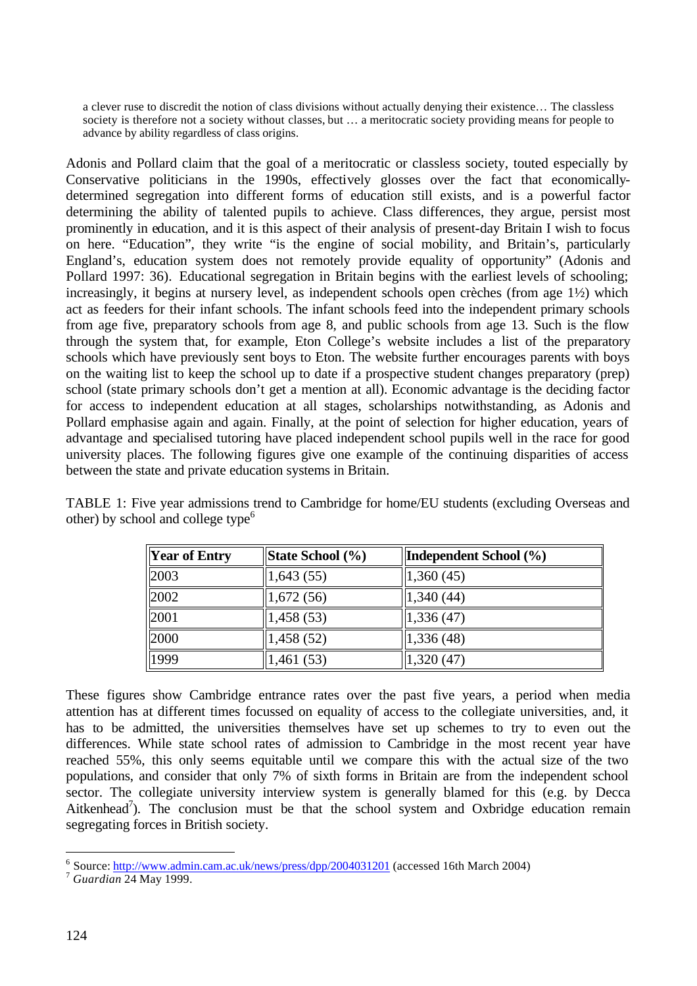a clever ruse to discredit the notion of class divisions without actually denying their existence… The classless society is therefore not a society without classes, but … a meritocratic society providing means for people to advance by ability regardless of class origins.

Adonis and Pollard claim that the goal of a meritocratic or classless society, touted especially by Conservative politicians in the 1990s, effectively glosses over the fact that economicallydetermined segregation into different forms of education still exists, and is a powerful factor determining the ability of talented pupils to achieve. Class differences, they argue, persist most prominently in education, and it is this aspect of their analysis of present-day Britain I wish to focus on here. "Education", they write "is the engine of social mobility, and Britain's, particularly England's, education system does not remotely provide equality of opportunity" (Adonis and Pollard 1997: 36). Educational segregation in Britain begins with the earliest levels of schooling; increasingly, it begins at nursery level, as independent schools open crèches (from age 1½) which act as feeders for their infant schools. The infant schools feed into the independent primary schools from age five, preparatory schools from age 8, and public schools from age 13. Such is the flow through the system that, for example, Eton College's website includes a list of the preparatory schools which have previously sent boys to Eton. The website further encourages parents with boys on the waiting list to keep the school up to date if a prospective student changes preparatory (prep) school (state primary schools don't get a mention at all). Economic advantage is the deciding factor for access to independent education at all stages, scholarships notwithstanding, as Adonis and Pollard emphasise again and again. Finally, at the point of selection for higher education, years of advantage and specialised tutoring have placed independent school pupils well in the race for good university places. The following figures give one example of the continuing disparities of access between the state and private education systems in Britain.

TABLE 1: Five year admissions trend to Cambridge for home/EU students (excluding Overseas and other) by school and college type $<sup>6</sup>$ </sup>

| <b>Year of Entry</b> | State School (%) | Independent School (%) |  |  |  |
|----------------------|------------------|------------------------|--|--|--|
| 2003                 | 1,643(55)        | 1,360(45)              |  |  |  |
| 2002                 | 1,672(56)        | 1,340(44)              |  |  |  |
| 2001                 | 1,458(53)        | 1,336(47)              |  |  |  |
| 2000                 | 1,458(52)        | 1,336(48)              |  |  |  |
| 1999                 | 1,461 (53)       | 1,320(47)              |  |  |  |

These figures show Cambridge entrance rates over the past five years, a period when media attention has at different times focussed on equality of access to the collegiate universities, and, it has to be admitted, the universities themselves have set up schemes to try to even out the differences. While state school rates of admission to Cambridge in the most recent year have reached 55%, this only seems equitable until we compare this with the actual size of the two populations, and consider that only 7% of sixth forms in Britain are from the independent school sector. The collegiate university interview system is generally blamed for this (e.g. by Decca Aitkenhead<sup>7</sup>). The conclusion must be that the school system and Oxbridge education remain segregating forces in British society.

<sup>&</sup>lt;sup>6</sup> Source: http://www.admin.cam.ac.uk/news/press/dpp/2004031201 (accessed 16th March 2004)

<sup>7</sup> *Guardian* 24 May 1999.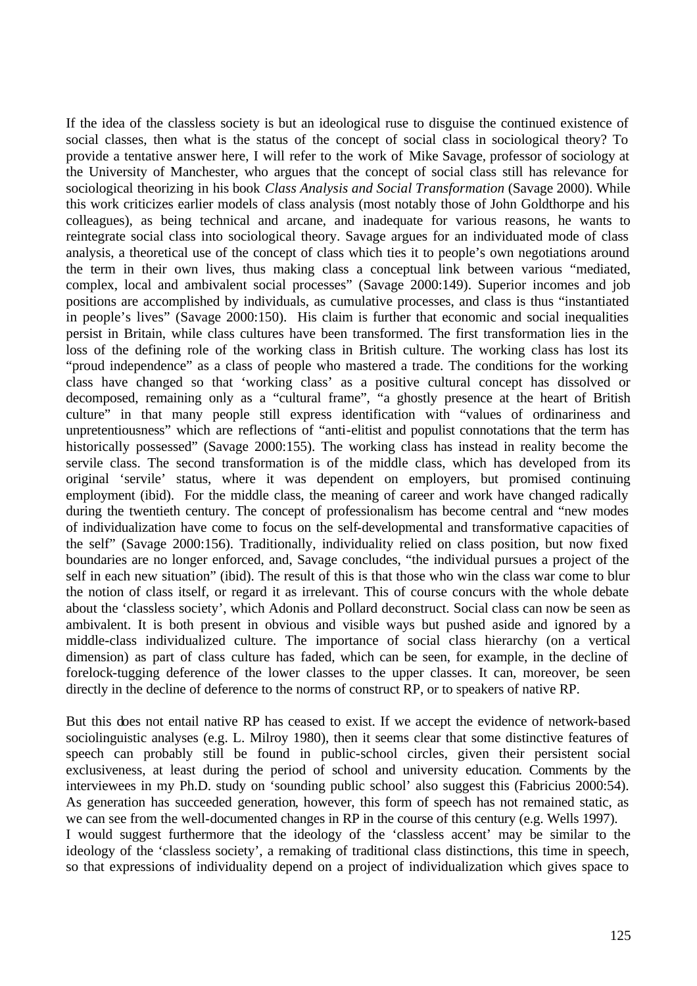If the idea of the classless society is but an ideological ruse to disguise the continued existence of social classes, then what is the status of the concept of social class in sociological theory? To provide a tentative answer here, I will refer to the work of Mike Savage, professor of sociology at the University of Manchester, who argues that the concept of social class still has relevance for sociological theorizing in his book *Class Analysis and Social Transformation* (Savage 2000). While this work criticizes earlier models of class analysis (most notably those of John Goldthorpe and his colleagues), as being technical and arcane, and inadequate for various reasons, he wants to reintegrate social class into sociological theory. Savage argues for an individuated mode of class analysis, a theoretical use of the concept of class which ties it to people's own negotiations around the term in their own lives, thus making class a conceptual link between various "mediated, complex, local and ambivalent social processes" (Savage 2000:149). Superior incomes and job positions are accomplished by individuals, as cumulative processes, and class is thus "instantiated in people's lives" (Savage 2000:150). His claim is further that economic and social inequalities persist in Britain, while class cultures have been transformed. The first transformation lies in the loss of the defining role of the working class in British culture. The working class has lost its "proud independence" as a class of people who mastered a trade. The conditions for the working class have changed so that 'working class' as a positive cultural concept has dissolved or decomposed, remaining only as a "cultural frame", "a ghostly presence at the heart of British culture" in that many people still express identification with "values of ordinariness and unpretentiousness" which are reflections of "anti-elitist and populist connotations that the term has historically possessed" (Savage 2000:155). The working class has instead in reality become the servile class. The second transformation is of the middle class, which has developed from its original 'servile' status, where it was dependent on employers, but promised continuing employment (ibid). For the middle class, the meaning of career and work have changed radically during the twentieth century. The concept of professionalism has become central and "new modes of individualization have come to focus on the self-developmental and transformative capacities of the self" (Savage 2000:156). Traditionally, individuality relied on class position, but now fixed boundaries are no longer enforced, and, Savage concludes, "the individual pursues a project of the self in each new situation" (ibid). The result of this is that those who win the class war come to blur the notion of class itself, or regard it as irrelevant. This of course concurs with the whole debate about the 'classless society', which Adonis and Pollard deconstruct. Social class can now be seen as ambivalent. It is both present in obvious and visible ways but pushed aside and ignored by a middle-class individualized culture. The importance of social class hierarchy (on a vertical dimension) as part of class culture has faded, which can be seen, for example, in the decline of forelock-tugging deference of the lower classes to the upper classes. It can, moreover, be seen directly in the decline of deference to the norms of construct RP, or to speakers of native RP.

But this does not entail native RP has ceased to exist. If we accept the evidence of network-based sociolinguistic analyses (e.g. L. Milroy 1980), then it seems clear that some distinctive features of speech can probably still be found in public-school circles, given their persistent social exclusiveness, at least during the period of school and university education. Comments by the interviewees in my Ph.D. study on 'sounding public school' also suggest this (Fabricius 2000:54). As generation has succeeded generation, however, this form of speech has not remained static, as we can see from the well-documented changes in RP in the course of this century (e.g. Wells 1997). I would suggest furthermore that the ideology of the 'classless accent' may be similar to the ideology of the 'classless society', a remaking of traditional class distinctions, this time in speech, so that expressions of individuality depend on a project of individualization which gives space to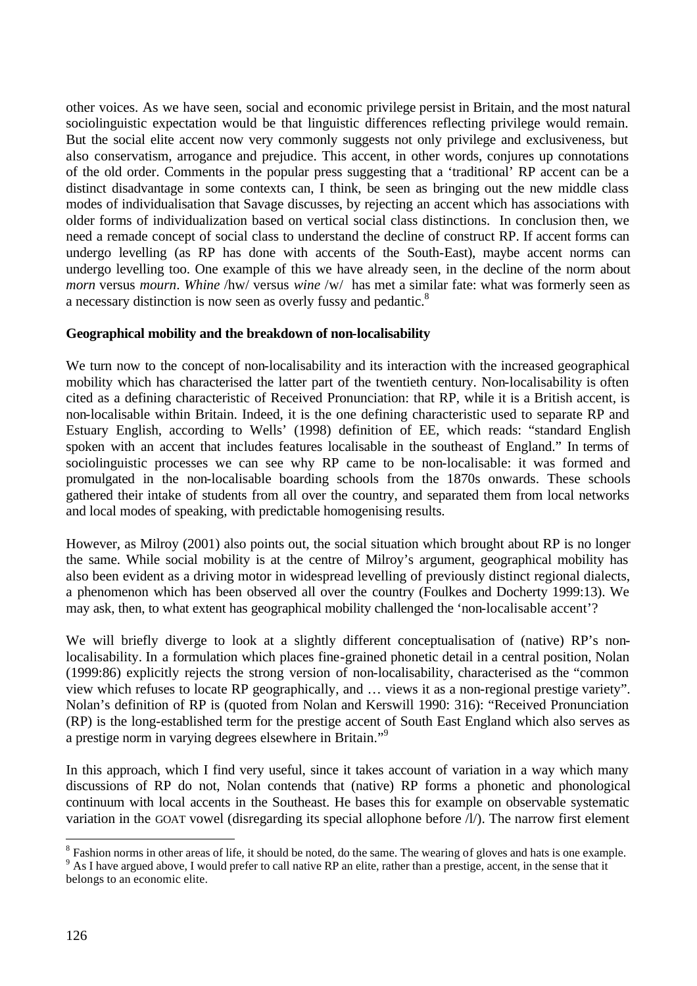other voices. As we have seen, social and economic privilege persist in Britain, and the most natural sociolinguistic expectation would be that linguistic differences reflecting privilege would remain. But the social elite accent now very commonly suggests not only privilege and exclusiveness, but also conservatism, arrogance and prejudice. This accent, in other words, conjures up connotations of the old order. Comments in the popular press suggesting that a 'traditional' RP accent can be a distinct disadvantage in some contexts can, I think, be seen as bringing out the new middle class modes of individualisation that Savage discusses, by rejecting an accent which has associations with older forms of individualization based on vertical social class distinctions. In conclusion then, we need a remade concept of social class to understand the decline of construct RP. If accent forms can undergo levelling (as RP has done with accents of the South-East), maybe accent norms can undergo levelling too. One example of this we have already seen, in the decline of the norm about *morn* versus *mourn*. *Whine* /hw/ versus *wine* /w/ has met a similar fate: what was formerly seen as a necessary distinction is now seen as overly fussy and pedantic.<sup>8</sup>

## **Geographical mobility and the breakdown of non-localisability**

We turn now to the concept of non-localisability and its interaction with the increased geographical mobility which has characterised the latter part of the twentieth century. Non-localisability is often cited as a defining characteristic of Received Pronunciation: that RP, while it is a British accent, is non-localisable within Britain. Indeed, it is the one defining characteristic used to separate RP and Estuary English, according to Wells' (1998) definition of EE, which reads: "standard English spoken with an accent that includes features localisable in the southeast of England." In terms of sociolinguistic processes we can see why RP came to be non-localisable: it was formed and promulgated in the non-localisable boarding schools from the 1870s onwards. These schools gathered their intake of students from all over the country, and separated them from local networks and local modes of speaking, with predictable homogenising results.

However, as Milroy (2001) also points out, the social situation which brought about RP is no longer the same. While social mobility is at the centre of Milroy's argument, geographical mobility has also been evident as a driving motor in widespread levelling of previously distinct regional dialects, a phenomenon which has been observed all over the country (Foulkes and Docherty 1999:13). We may ask, then, to what extent has geographical mobility challenged the 'non-localisable accent'?

We will briefly diverge to look at a slightly different conceptualisation of (native) RP's nonlocalisability. In a formulation which places fine-grained phonetic detail in a central position, Nolan (1999:86) explicitly rejects the strong version of non-localisability, characterised as the "common view which refuses to locate RP geographically, and … views it as a non-regional prestige variety". Nolan's definition of RP is (quoted from Nolan and Kerswill 1990: 316): "Received Pronunciation (RP) is the long-established term for the prestige accent of South East England which also serves as a prestige norm in varying degrees elsewhere in Britain."<sup>9</sup>

In this approach, which I find very useful, since it takes account of variation in a way which many discussions of RP do not, Nolan contends that (native) RP forms a phonetic and phonological continuum with local accents in the Southeast. He bases this for example on observable systematic variation in the GOAT vowel (disregarding its special allophone before  $\Lambda$ ). The narrow first element

 $8$  Fashion norms in other areas of life, it should be noted, do the same. The wearing of gloves and hats is one example. <sup>9</sup> As I have argued above, I would prefer to call native RP an elite, rather than a prestige, accent, in the sense that it

belongs to an economic elite.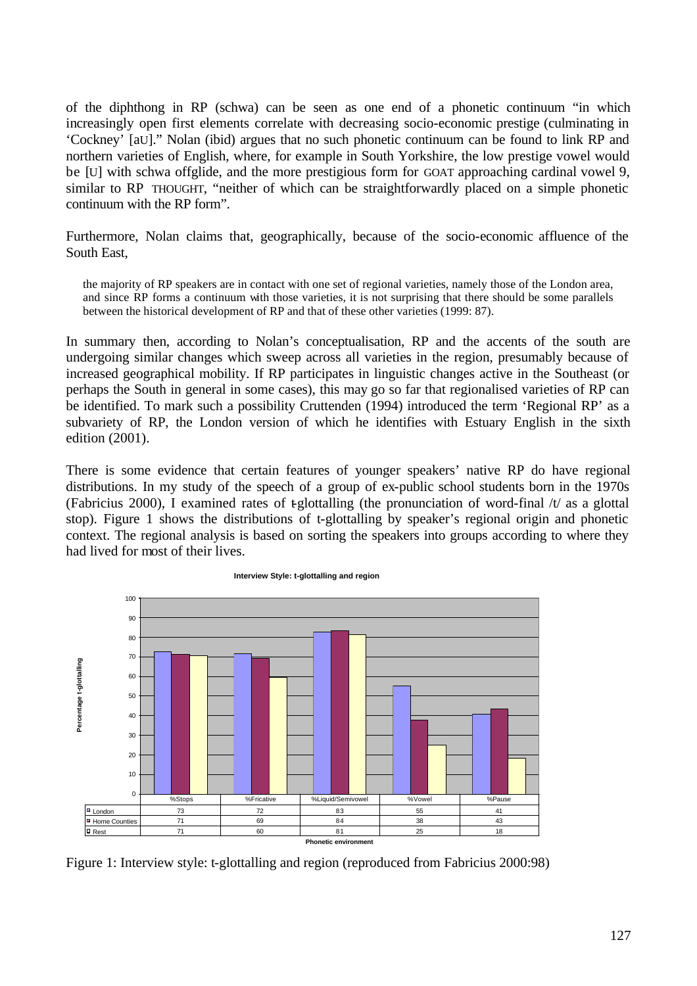of the diphthong in RP (schwa) can be seen as one end of a phonetic continuum "in which increasingly open first elements correlate with decreasing socio-economic prestige (culminating in 'Cockney' [aU]." Nolan (ibid) argues that no such phonetic continuum can be found to link RP and northern varieties of English, where, for example in South Yorkshire, the low prestige vowel would be [U] with schwa offglide, and the more prestigious form for GOAT approaching cardinal vowel 9, similar to RP THOUGHT, "neither of which can be straightforwardly placed on a simple phonetic continuum with the RP form".

Furthermore, Nolan claims that, geographically, because of the socio-economic affluence of the South East,

the majority of RP speakers are in contact with one set of regional varieties, namely those of the London area, and since RP forms a continuum with those varieties, it is not surprising that there should be some parallels between the historical development of RP and that of these other varieties (1999: 87).

In summary then, according to Nolan's conceptualisation, RP and the accents of the south are undergoing similar changes which sweep across all varieties in the region, presumably because of increased geographical mobility. If RP participates in linguistic changes active in the Southeast (or perhaps the South in general in some cases), this may go so far that regionalised varieties of RP can be identified. To mark such a possibility Cruttenden (1994) introduced the term 'Regional RP' as a subvariety of RP, the London version of which he identifies with Estuary English in the sixth edition (2001).

There is some evidence that certain features of younger speakers' native RP do have regional distributions. In my study of the speech of a group of ex-public school students born in the 1970s (Fabricius 2000), I examined rates of t-glottalling (the pronunciation of word-final  $/t$  as a glottal stop). Figure 1 shows the distributions of t-glottalling by speaker's regional origin and phonetic context. The regional analysis is based on sorting the speakers into groups according to where they had lived for most of their lives.



**Interview Style: t-glottalling and region**

Figure 1: Interview style: t-glottalling and region (reproduced from Fabricius 2000:98)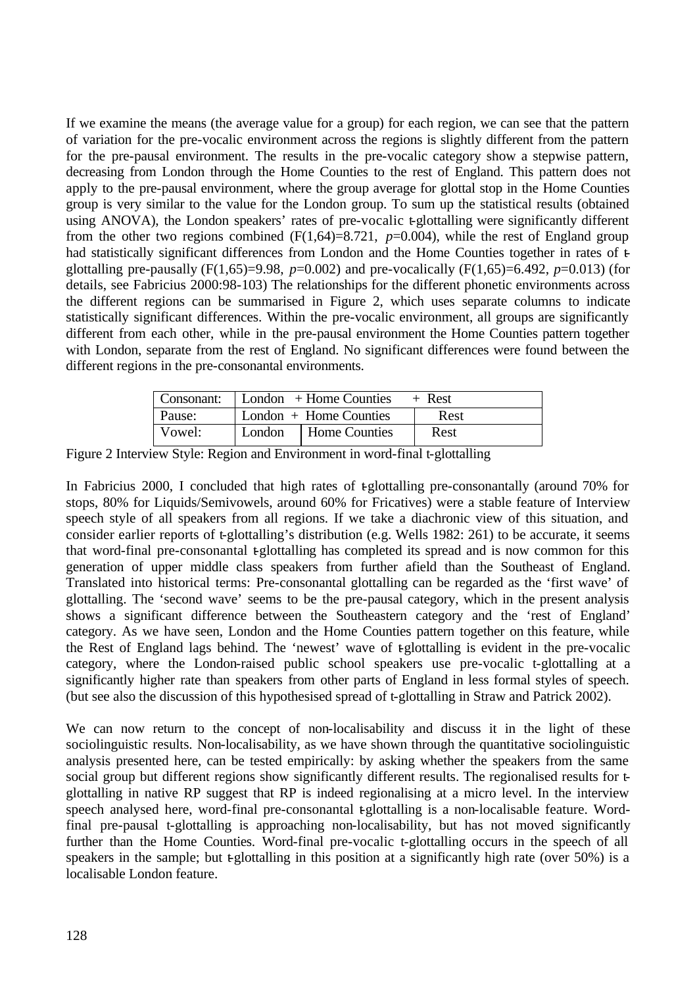If we examine the means (the average value for a group) for each region, we can see that the pattern of variation for the pre-vocalic environment across the regions is slightly different from the pattern for the pre-pausal environment. The results in the pre-vocalic category show a stepwise pattern, decreasing from London through the Home Counties to the rest of England. This pattern does not apply to the pre-pausal environment, where the group average for glottal stop in the Home Counties group is very similar to the value for the London group. To sum up the statistical results (obtained using ANOVA), the London speakers' rates of pre-vocalic t-glottalling were significantly different from the other two regions combined  $(F(1,64)=8.721, p=0.004)$ , while the rest of England group had statistically significant differences from London and the Home Counties together in rates of  $\overline{t}$ glottalling pre-pausally  $(F(1,65)=9.98, p=0.002)$  and pre-vocalically  $(F(1,65)=6.492, p=0.013)$  (for details, see Fabricius 2000:98-103) The relationships for the different phonetic environments across the different regions can be summarised in Figure 2, which uses separate columns to indicate statistically significant differences. Within the pre-vocalic environment, all groups are significantly different from each other, while in the pre-pausal environment the Home Counties pattern together with London, separate from the rest of England. No significant differences were found between the different regions in the pre-consonantal environments.

|        | $\vert$ Consonant: $\vert$ London + Home Counties | + Rest |  |  |
|--------|---------------------------------------------------|--------|--|--|
| Pause: | London $+$ Home Counties                          | Rest   |  |  |
| Vowel: | London   Home Counties                            | Rest   |  |  |

Figure 2 Interview Style: Region and Environment in word-final t-glottalling

In Fabricius 2000, I concluded that high rates of  $t$ glottalling pre-consonantally (around 70% for stops, 80% for Liquids/Semivowels, around 60% for Fricatives) were a stable feature of Interview speech style of all speakers from all regions. If we take a diachronic view of this situation, and consider earlier reports of t-glottalling's distribution (e.g. Wells 1982: 261) to be accurate, it seems that word-final pre-consonantal t-glottalling has completed its spread and is now common for this generation of upper middle class speakers from further afield than the Southeast of England. Translated into historical terms: Pre-consonantal glottalling can be regarded as the 'first wave' of glottalling. The 'second wave' seems to be the pre-pausal category, which in the present analysis shows a significant difference between the Southeastern category and the 'rest of England' category. As we have seen, London and the Home Counties pattern together on this feature, while the Rest of England lags behind. The 'newest' wave of t-glottalling is evident in the pre-vocalic category, where the London-raised public school speakers use pre-vocalic t-glottalling at a significantly higher rate than speakers from other parts of England in less formal styles of speech. (but see also the discussion of this hypothesised spread of t-glottalling in Straw and Patrick 2002).

We can now return to the concept of non-localisability and discuss it in the light of these sociolinguistic results. Non-localisability, as we have shown through the quantitative sociolinguistic analysis presented here, can be tested empirically: by asking whether the speakers from the same social group but different regions show significantly different results. The regionalised results for tglottalling in native RP suggest that RP is indeed regionalising at a micro level. In the interview speech analysed here, word-final pre-consonantal t-glottalling is a non-localisable feature. Wordfinal pre-pausal t-glottalling is approaching non-localisability, but has not moved significantly further than the Home Counties. Word-final pre-vocalic t-glottalling occurs in the speech of all speakers in the sample; but  $t$ -glottalling in this position at a significantly high rate (over 50%) is a localisable London feature.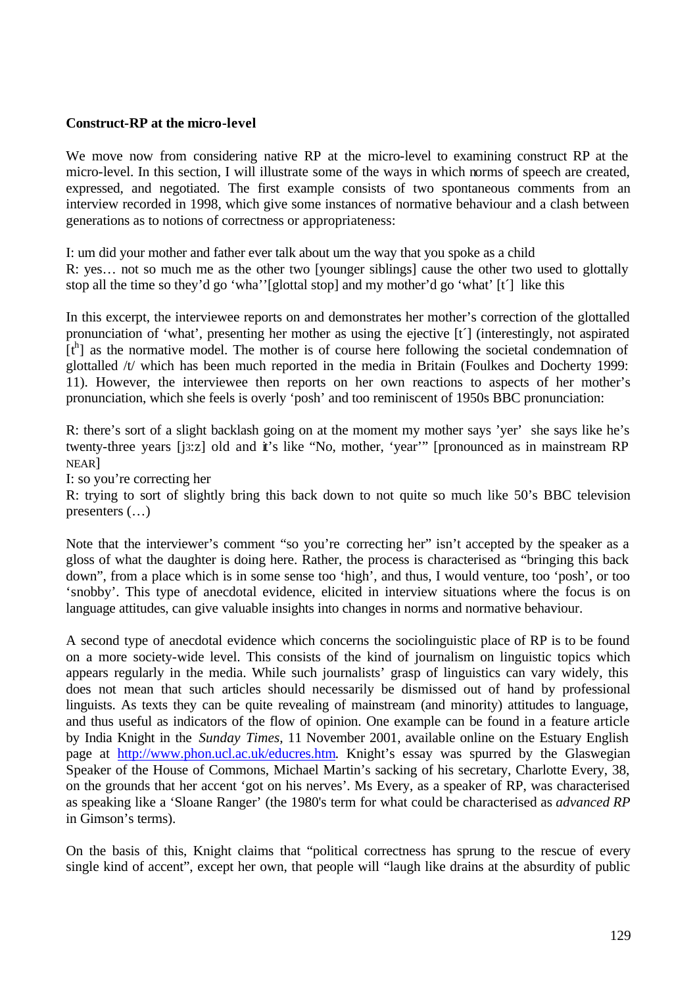## **Construct-RP at the micro-level**

We move now from considering native RP at the micro-level to examining construct RP at the micro-level. In this section, I will illustrate some of the ways in which norms of speech are created, expressed, and negotiated. The first example consists of two spontaneous comments from an interview recorded in 1998, which give some instances of normative behaviour and a clash between generations as to notions of correctness or appropriateness:

I: um did your mother and father ever talk about um the way that you spoke as a child R: yes… not so much me as the other two [younger siblings] cause the other two used to glottally stop all the time so they'd go 'wha''[glottal stop] and my mother'd go 'what' [t´] like this

In this excerpt, the interviewee reports on and demonstrates her mother's correction of the glottalled pronunciation of 'what', presenting her mother as using the ejective [t´] (interestingly, not aspirated [th] as the normative model. The mother is of course here following the societal condemnation of glottalled /t/ which has been much reported in the media in Britain (Foulkes and Docherty 1999: 11). However, the interviewee then reports on her own reactions to aspects of her mother's pronunciation, which she feels is overly 'posh' and too reminiscent of 1950s BBC pronunciation:

R: there's sort of a slight backlash going on at the moment my mother says 'yer' she says like he's twenty-three years [j3:z] old and it's like "No, mother, 'year'" [pronounced as in mainstream RP NEAR]

I: so you're correcting her

R: trying to sort of slightly bring this back down to not quite so much like 50's BBC television presenters (…)

Note that the interviewer's comment "so you're correcting her" isn't accepted by the speaker as a gloss of what the daughter is doing here. Rather, the process is characterised as "bringing this back down", from a place which is in some sense too 'high', and thus, I would venture, too 'posh', or too 'snobby'. This type of anecdotal evidence, elicited in interview situations where the focus is on language attitudes, can give valuable insights into changes in norms and normative behaviour.

A second type of anecdotal evidence which concerns the sociolinguistic place of RP is to be found on a more society-wide level. This consists of the kind of journalism on linguistic topics which appears regularly in the media. While such journalists' grasp of linguistics can vary widely, this does not mean that such articles should necessarily be dismissed out of hand by professional linguists. As texts they can be quite revealing of mainstream (and minority) attitudes to language, and thus useful as indicators of the flow of opinion. One example can be found in a feature article by India Knight in the *Sunday Times*, 11 November 2001, available online on the Estuary English page at http://www.phon.ucl.ac.uk/educres.htm. Knight's essay was spurred by the Glaswegian Speaker of the House of Commons, Michael Martin's sacking of his secretary, Charlotte Every, 38, on the grounds that her accent 'got on his nerves'. Ms Every, as a speaker of RP, was characterised as speaking like a 'Sloane Ranger' (the 1980's term for what could be characterised as *advanced RP* in Gimson's terms).

On the basis of this, Knight claims that "political correctness has sprung to the rescue of every single kind of accent", except her own, that people will "laugh like drains at the absurdity of public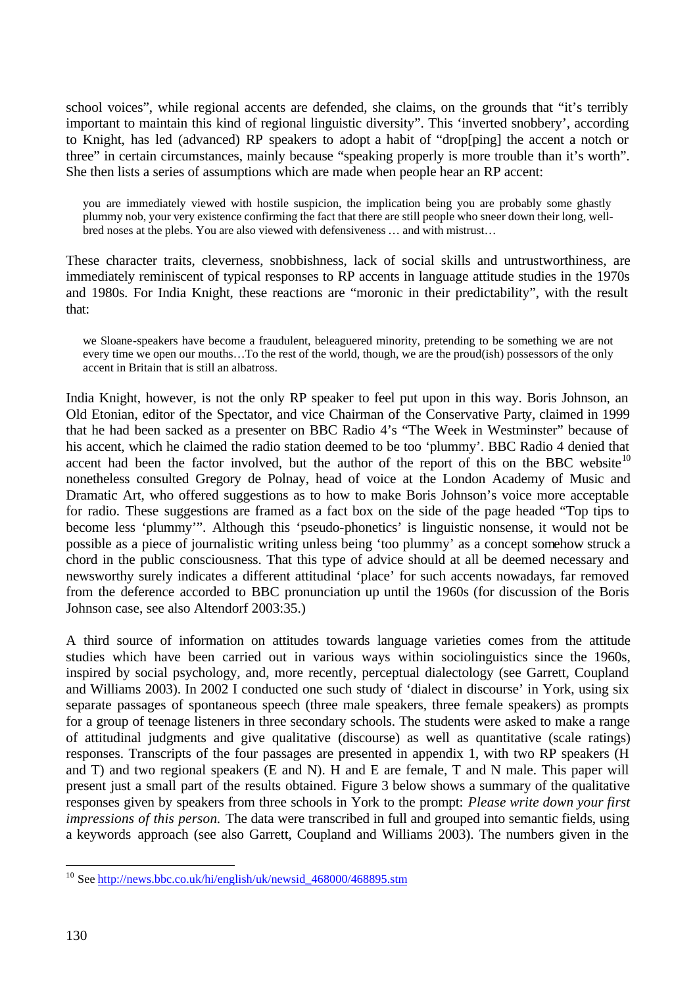school voices", while regional accents are defended, she claims, on the grounds that "it's terribly important to maintain this kind of regional linguistic diversity". This 'inverted snobbery', according to Knight, has led (advanced) RP speakers to adopt a habit of "drop[ping] the accent a notch or three" in certain circumstances, mainly because "speaking properly is more trouble than it's worth". She then lists a series of assumptions which are made when people hear an RP accent:

you are immediately viewed with hostile suspicion, the implication being you are probably some ghastly plummy nob, your very existence confirming the fact that there are still people who sneer down their long, wellbred noses at the plebs. You are also viewed with defensiveness … and with mistrust…

These character traits, cleverness, snobbishness, lack of social skills and untrustworthiness, are immediately reminiscent of typical responses to RP accents in language attitude studies in the 1970s and 1980s. For India Knight, these reactions are "moronic in their predictability", with the result that:

we Sloane-speakers have become a fraudulent, beleaguered minority, pretending to be something we are not every time we open our mouths…To the rest of the world, though, we are the proud(ish) possessors of the only accent in Britain that is still an albatross.

India Knight, however, is not the only RP speaker to feel put upon in this way. Boris Johnson, an Old Etonian, editor of the Spectator, and vice Chairman of the Conservative Party, claimed in 1999 that he had been sacked as a presenter on BBC Radio 4's "The Week in Westminster" because of his accent, which he claimed the radio station deemed to be too 'plummy'. BBC Radio 4 denied that accent had been the factor involved, but the author of the report of this on the BBC website<sup>10</sup> nonetheless consulted Gregory de Polnay, head of voice at the London Academy of Music and Dramatic Art, who offered suggestions as to how to make Boris Johnson's voice more acceptable for radio. These suggestions are framed as a fact box on the side of the page headed "Top tips to become less 'plummy'". Although this 'pseudo-phonetics' is linguistic nonsense, it would not be possible as a piece of journalistic writing unless being 'too plummy' as a concept somehow struck a chord in the public consciousness. That this type of advice should at all be deemed necessary and newsworthy surely indicates a different attitudinal 'place' for such accents nowadays, far removed from the deference accorded to BBC pronunciation up until the 1960s (for discussion of the Boris Johnson case, see also Altendorf 2003:35.)

A third source of information on attitudes towards language varieties comes from the attitude studies which have been carried out in various ways within sociolinguistics since the 1960s, inspired by social psychology, and, more recently, perceptual dialectology (see Garrett, Coupland and Williams 2003). In 2002 I conducted one such study of 'dialect in discourse' in York, using six separate passages of spontaneous speech (three male speakers, three female speakers) as prompts for a group of teenage listeners in three secondary schools. The students were asked to make a range of attitudinal judgments and give qualitative (discourse) as well as quantitative (scale ratings) responses. Transcripts of the four passages are presented in appendix 1, with two RP speakers (H and T) and two regional speakers (E and N). H and E are female, T and N male. This paper will present just a small part of the results obtained. Figure 3 below shows a summary of the qualitative responses given by speakers from three schools in York to the prompt: *Please write down your first impressions of this person.* The data were transcribed in full and grouped into semantic fields, using a keywords approach (see also Garrett, Coupland and Williams 2003). The numbers given in the

l

<sup>&</sup>lt;sup>10</sup> See http://news.bbc.co.uk/hi/english/uk/newsid\_468000/468895.stm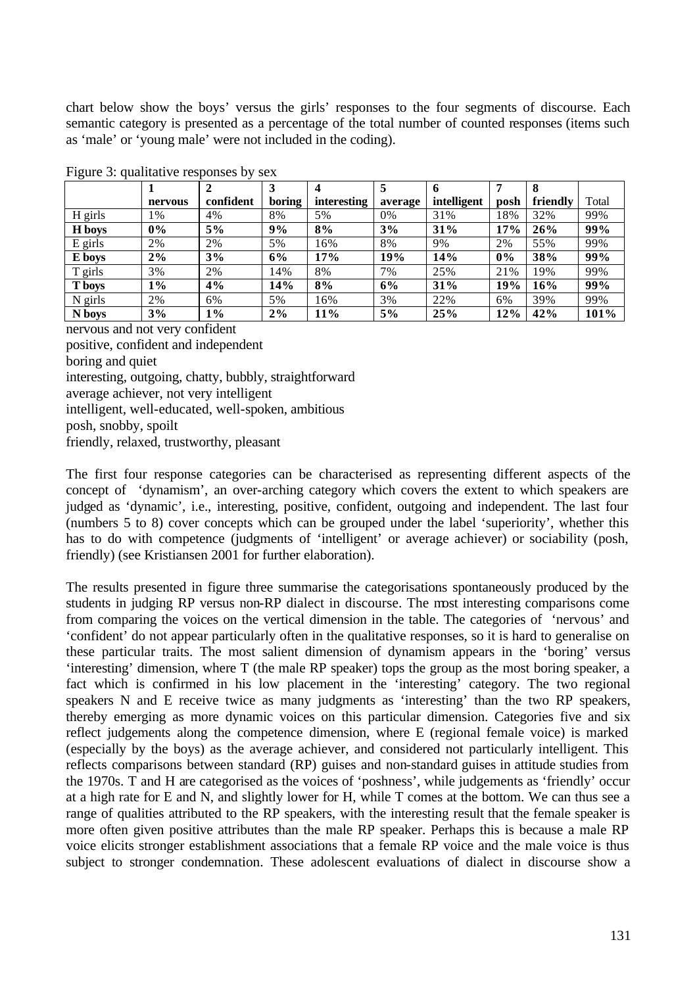chart below show the boys' versus the girls' responses to the four segments of discourse. Each semantic category is presented as a percentage of the total number of counted responses (items such as 'male' or 'young male' were not included in the coding).

|           |         |           |        |             | 5       | 6           |      |          |       |
|-----------|---------|-----------|--------|-------------|---------|-------------|------|----------|-------|
|           | nervous | confident | boring | interesting | average | intelligent | posh | friendly | Total |
| H girls   | 1%      | 4%        | 8%     | 5%          | 0%      | 31%         | 18%  | 32%      | 99%   |
| H boys    | $0\%$   | $5\%$     | 9%     | 8%          | 3%      | 31%         | 17%  | 26%      | 99%   |
| E girls   | 2%      | 2%        | 5%     | 16%         | 8%      | 9%          | 2%   | 55%      | 99%   |
| E boys    | $2\%$   | 3%        | 6%     | 17%         | 19%     | 14%         | 0%   | 38%      | 99%   |
| T girls   | 3%      | 2%        | 14%    | 8%          | 7%      | 25%         | 21%  | 19%      | 99%   |
| T boys    | 1%      | 4%        | 14%    | 8%          | 6%      | 31%         | 19%  | 16%      | 99%   |
| $N$ girls | 2%      | 6%        | 5%     | 16%         | 3%      | 22%         | 6%   | 39%      | 99%   |
| N boys    | 3%      | $1\%$     | $2\%$  | 11%         | 5%      | 25%         | 12%  | 42%      | 101%  |

Figure 3: qualitative responses by sex

nervous and not very confident positive, confident and independent boring and quiet interesting, outgoing, chatty, bubbly, straightforward average achiever, not very intelligent intelligent, well-educated, well-spoken, ambitious posh, snobby, spoilt friendly, relaxed, trustworthy, pleasant

The first four response categories can be characterised as representing different aspects of the concept of 'dynamism', an over-arching category which covers the extent to which speakers are judged as 'dynamic', i.e., interesting, positive, confident, outgoing and independent. The last four (numbers 5 to 8) cover concepts which can be grouped under the label 'superiority', whether this has to do with competence (judgments of 'intelligent' or average achiever) or sociability (posh, friendly) (see Kristiansen 2001 for further elaboration).

The results presented in figure three summarise the categorisations spontaneously produced by the students in judging RP versus non-RP dialect in discourse. The most interesting comparisons come from comparing the voices on the vertical dimension in the table. The categories of 'nervous' and 'confident' do not appear particularly often in the qualitative responses, so it is hard to generalise on these particular traits. The most salient dimension of dynamism appears in the 'boring' versus 'interesting' dimension, where T (the male RP speaker) tops the group as the most boring speaker, a fact which is confirmed in his low placement in the 'interesting' category. The two regional speakers N and E receive twice as many judgments as 'interesting' than the two RP speakers, thereby emerging as more dynamic voices on this particular dimension. Categories five and six reflect judgements along the competence dimension, where E (regional female voice) is marked (especially by the boys) as the average achiever, and considered not particularly intelligent. This reflects comparisons between standard (RP) guises and non-standard guises in attitude studies from the 1970s. T and H are categorised as the voices of 'poshness', while judgements as 'friendly' occur at a high rate for E and N, and slightly lower for H, while T comes at the bottom. We can thus see a range of qualities attributed to the RP speakers, with the interesting result that the female speaker is more often given positive attributes than the male RP speaker. Perhaps this is because a male RP voice elicits stronger establishment associations that a female RP voice and the male voice is thus subject to stronger condemnation. These adolescent evaluations of dialect in discourse show a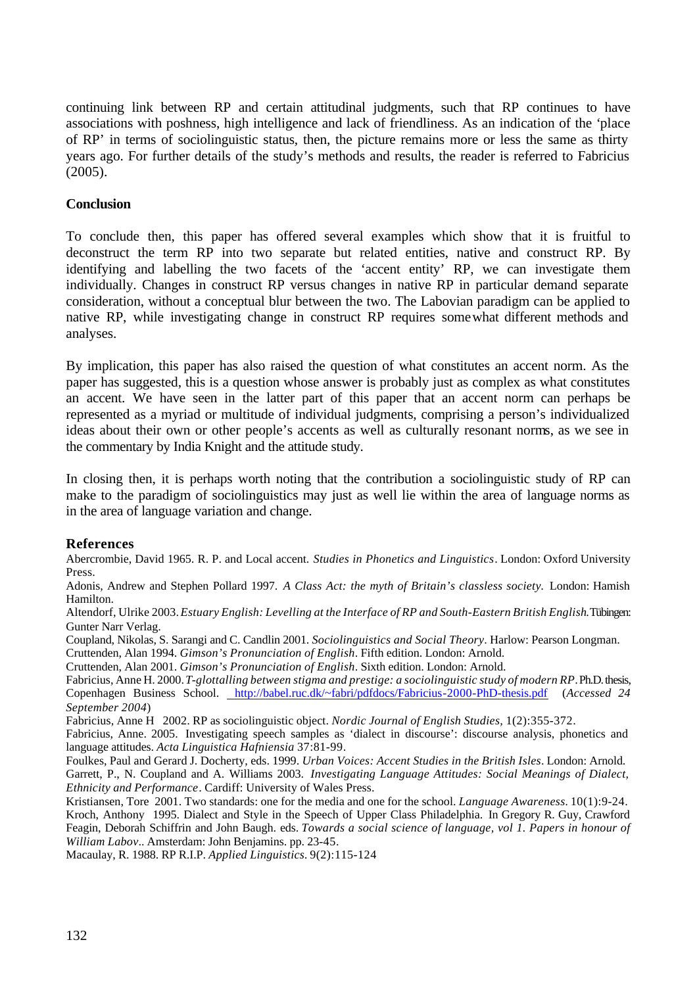continuing link between RP and certain attitudinal judgments, such that RP continues to have associations with poshness, high intelligence and lack of friendliness. As an indication of the 'place of RP' in terms of sociolinguistic status, then, the picture remains more or less the same as thirty years ago. For further details of the study's methods and results, the reader is referred to Fabricius (2005).

## **Conclusion**

To conclude then, this paper has offered several examples which show that it is fruitful to deconstruct the term RP into two separate but related entities, native and construct RP. By identifying and labelling the two facets of the 'accent entity' RP, we can investigate them individually. Changes in construct RP versus changes in native RP in particular demand separate consideration, without a conceptual blur between the two. The Labovian paradigm can be applied to native RP, while investigating change in construct RP requires somewhat different methods and analyses.

By implication, this paper has also raised the question of what constitutes an accent norm. As the paper has suggested, this is a question whose answer is probably just as complex as what constitutes an accent. We have seen in the latter part of this paper that an accent norm can perhaps be represented as a myriad or multitude of individual judgments, comprising a person's individualized ideas about their own or other people's accents as well as culturally resonant norms, as we see in the commentary by India Knight and the attitude study.

In closing then, it is perhaps worth noting that the contribution a sociolinguistic study of RP can make to the paradigm of sociolinguistics may just as well lie within the area of language norms as in the area of language variation and change.

## **References**

Abercrombie, David 1965. R. P. and Local accent. *Studies in Phonetics and Linguistics*. London: Oxford University Press.

Adonis, Andrew and Stephen Pollard 1997. *A Class Act: the myth of Britain's classless society.* London: Hamish Hamilton.

Altendorf, Ulrike 2003. *Estuary English: Levelling at the Interface of RP and South-Eastern British English*. Tübingen: Gunter Narr Verlag.

Coupland, Nikolas, S. Sarangi and C. Candlin 2001. *Sociolinguistics and Social Theory*. Harlow: Pearson Longman. Cruttenden, Alan 1994. *Gimson's Pronunciation of English*. Fifth edition. London: Arnold.

Cruttenden, Alan 2001. *Gimson's Pronunciation of English*. Sixth edition. London: Arnold.

Fabricius, Anne H. 2000.*T-glottalling between stigma and prestige: a sociolinguistic study of modern RP*. Ph.D. thesis, Copenhagen Business School. http://babel.ruc.dk/~fabri/pdfdocs/Fabricius-2000-PhD-thesis.pdf (*Accessed 24 September 2004*)

Fabricius, Anne H 2002. RP as sociolinguistic object. *Nordic Journal of English Studies,* 1(2):355-372.

Fabricius, Anne. 2005. Investigating speech samples as 'dialect in discourse': discourse analysis, phonetics and language attitudes. *Acta Linguistica Hafniensia* 37:81-99.

Foulkes, Paul and Gerard J. Docherty, eds. 1999. *Urban Voices: Accent Studies in the British Isles*. London: Arnold. Garrett, P., N. Coupland and A. Williams 2003. *Investigating Language Attitudes: Social Meanings of Dialect, Ethnicity and Performance*. Cardiff: University of Wales Press.

Kristiansen, Tore 2001. Two standards: one for the media and one for the school. *Language Awareness.* 10(1):9-24. Kroch, Anthony 1995. Dialect and Style in the Speech of Upper Class Philadelphia. In Gregory R. Guy, Crawford Feagin, Deborah Schiffrin and John Baugh. eds. *Towards a social science of language, vol 1. Papers in honour of William Labov*.. Amsterdam: John Benjamins. pp. 23-45.

Macaulay, R. 1988. RP R.I.P. *Applied Linguistics.* 9(2):115-124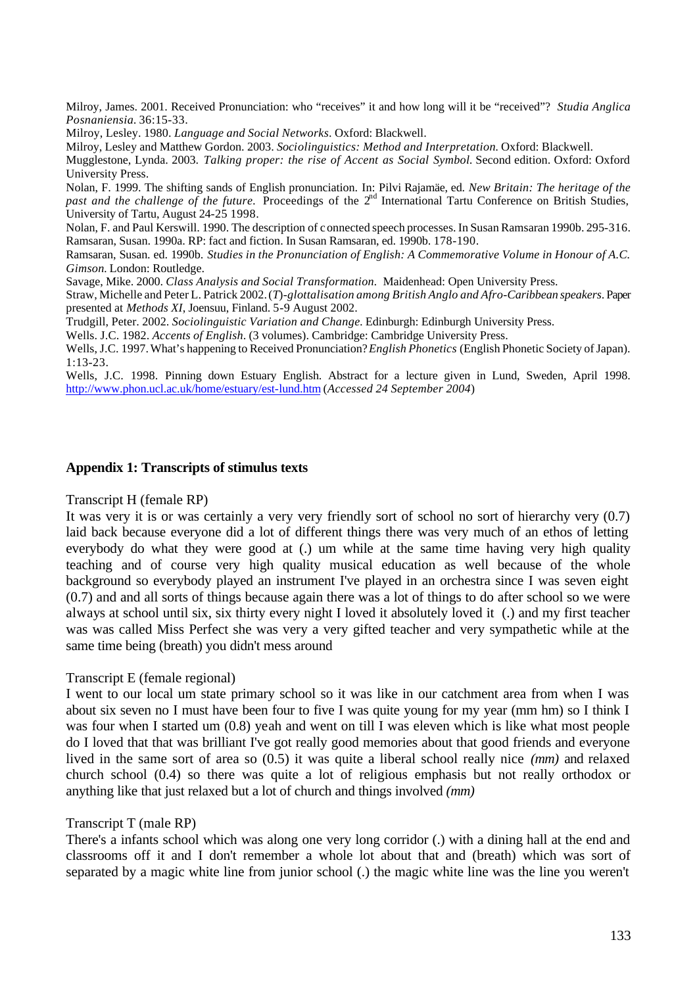Milroy, James. 2001. Received Pronunciation: who "receives" it and how long will it be "received"? *Studia Anglica Posnaniensia.* 36:15-33.

Milroy, Lesley. 1980. *Language and Social Networks*. Oxford: Blackwell.

Milroy, Lesley and Matthew Gordon. 2003. *Sociolinguistics: Method and Interpretation.* Oxford: Blackwell.

Mugglestone, Lynda. 2003. *Talking proper: the rise of Accent as Social Symbol.* Second edition. Oxford: Oxford University Press.

Nolan, F. 1999. The shifting sands of English pronunciation. In: Pilvi Rajamäe, ed. *New Britain: The heritage of the past and the challenge of the future.* Proceedings of the 2<sup>nd</sup> International Tartu Conference on British Studies, University of Tartu, August 24-25 1998.

Nolan, F. and Paul Kerswill. 1990. The description of connected speech processes. In Susan Ramsaran 1990b. 295-316. Ramsaran, Susan. 1990a. RP: fact and fiction. In Susan Ramsaran, ed. 1990b. 178-190.

Ramsaran, Susan. ed. 1990b. *Studies in the Pronunciation of English: A Commemorative Volume in Honour of A.C. Gimson.* London: Routledge.

Savage, Mike. 2000. *Class Analysis and Social Transformation.* Maidenhead: Open University Press.

Straw, Michelle and Peter L. Patrick 2002.(*T*)*-glottalisation among British Anglo and Afro-Caribbean speakers*. Paper presented at *Methods XI*, Joensuu, Finland. 5-9 August 2002.

Trudgill, Peter. 2002. *Sociolinguistic Variation and Change.* Edinburgh: Edinburgh University Press.

Wells. J.C. 1982. *Accents of English*. (3 volumes). Cambridge: Cambridge University Press.

Wells, J.C. 1997. What's happening to Received Pronunciation? *English Phonetics* (English Phonetic Society of Japan). 1:13-23.

Wells, J.C. 1998. Pinning down Estuary English. Abstract for a lecture given in Lund, Sweden, April 1998. http://www.phon.ucl.ac.uk/home/estuary/est-lund.htm (*Accessed 24 September 2004*)

#### **Appendix 1: Transcripts of stimulus texts**

Transcript H (female RP)

It was very it is or was certainly a very very friendly sort of school no sort of hierarchy very (0.7) laid back because everyone did a lot of different things there was very much of an ethos of letting everybody do what they were good at (.) um while at the same time having very high quality teaching and of course very high quality musical education as well because of the whole background so everybody played an instrument I've played in an orchestra since I was seven eight (0.7) and and all sorts of things because again there was a lot of things to do after school so we were always at school until six, six thirty every night I loved it absolutely loved it (.) and my first teacher was was called Miss Perfect she was very a very gifted teacher and very sympathetic while at the same time being (breath) you didn't mess around

#### Transcript E (female regional)

I went to our local um state primary school so it was like in our catchment area from when I was about six seven no I must have been four to five I was quite young for my year (mm hm) so I think I was four when I started um (0.8) yeah and went on till I was eleven which is like what most people do I loved that that was brilliant I've got really good memories about that good friends and everyone lived in the same sort of area so (0.5) it was quite a liberal school really nice *(mm)* and relaxed church school (0.4) so there was quite a lot of religious emphasis but not really orthodox or anything like that just relaxed but a lot of church and things involved *(mm)*

#### Transcript T (male RP)

There's a infants school which was along one very long corridor (.) with a dining hall at the end and classrooms off it and I don't remember a whole lot about that and (breath) which was sort of separated by a magic white line from junior school (.) the magic white line was the line you weren't